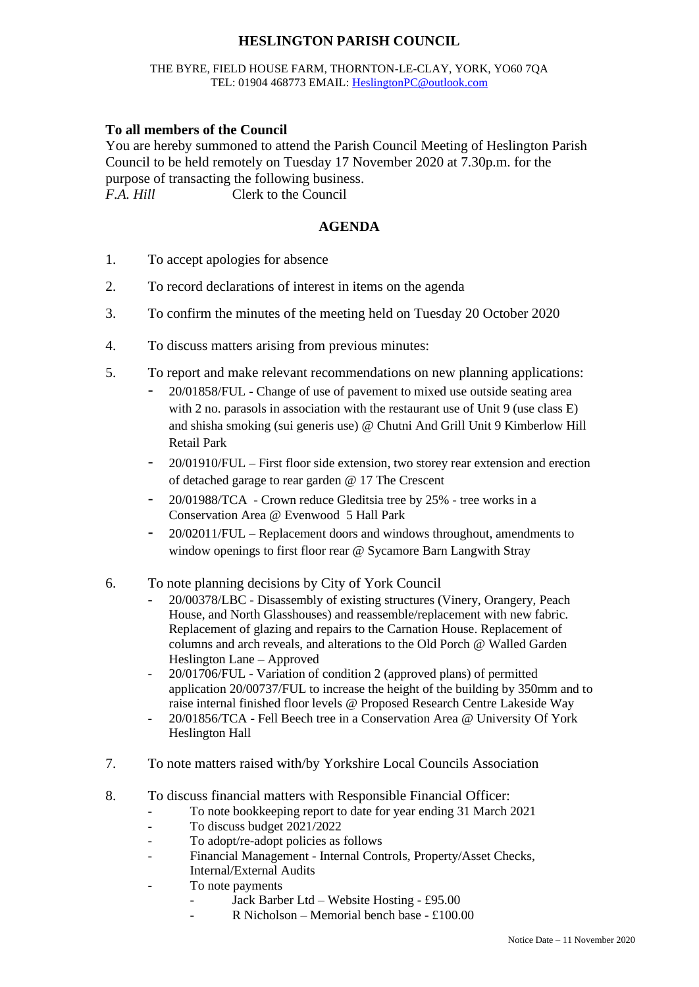# **HESLINGTON PARISH COUNCIL**

#### THE BYRE, FIELD HOUSE FARM, THORNTON-LE-CLAY, YORK, YO60 7QA TEL: 01904 468773 EMAIL: [HeslingtonPC@outlook.com](mailto:HeslingtonPC@outlook.com)

### **To all members of the Council**

You are hereby summoned to attend the Parish Council Meeting of Heslington Parish Council to be held remotely on Tuesday 17 November 2020 at 7.30p.m. for the purpose of transacting the following business. *F.A. Hill* Clerk to the Council

## **AGENDA**

- 1. To accept apologies for absence
- 2. To record declarations of interest in items on the agenda
- 3. To confirm the minutes of the meeting held on Tuesday 20 October 2020
- 4. To discuss matters arising from previous minutes:
- 5. To report and make relevant recommendations on new planning applications:
	- 20/01858/FUL Change of use of pavement to mixed use outside seating area with 2 no. parasols in association with the restaurant use of Unit 9 (use class E) and shisha smoking (sui generis use) @ Chutni And Grill Unit 9 Kimberlow Hill Retail Park
	- 20/01910/FUL First floor side extension, two storey rear extension and erection of detached garage to rear garden @ 17 The Crescent
	- 20/01988/TCA Crown reduce Gleditsia tree by 25% tree works in a Conservation Area @ Evenwood 5 Hall Park
	- 20/02011/FUL Replacement doors and windows throughout, amendments to window openings to first floor rear @ Sycamore Barn Langwith Stray
- 6. To note planning decisions by City of York Council
	- 20/00378/LBC Disassembly of existing structures (Vinery, Orangery, Peach House, and North Glasshouses) and reassemble/replacement with new fabric. Replacement of glazing and repairs to the Carnation House. Replacement of columns and arch reveals, and alterations to the Old Porch @ Walled Garden Heslington Lane – Approved
	- 20/01706/FUL Variation of condition 2 (approved plans) of permitted application 20/00737/FUL to increase the height of the building by 350mm and to raise internal finished floor levels @ Proposed Research Centre Lakeside Way
	- 20/01856/TCA Fell Beech tree in a Conservation Area @ University Of York Heslington Hall
- 7. To note matters raised with/by Yorkshire Local Councils Association
- 8. To discuss financial matters with Responsible Financial Officer:
	- To note bookkeeping report to date for year ending 31 March 2021
	- To discuss budget 2021/2022
	- To adopt/re-adopt policies as follows
	- Financial Management Internal Controls, Property/Asset Checks, Internal/External Audits
	- To note payments
		- Jack Barber Ltd Website Hosting £95.00
		- R Nicholson Memorial bench base  $£100.00$